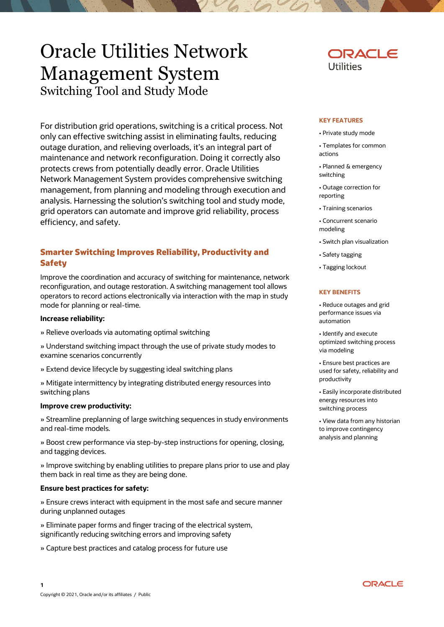# Oracle Utilities Network Management System Switching Tool and Study Mode

For distribution grid operations, switching is a critical process. Not only can effective switching assist in eliminating faults, reducing outage duration, and relieving overloads, it's an integral part of maintenance and network reconfiguration. Doing it correctly also protects crews from potentially deadly error. Oracle Utilities Network Management System provides comprehensive switching management, from planning and modeling through execution and analysis. Harnessing the solution's switching tool and study mode, grid operators can automate and improve grid reliability, process efficiency, and safety.

# **Smarter Switching Improves Reliability, Productivity and Safety**

Improve the coordination and accuracy of switching for maintenance, network reconfiguration, and outage restoration. A switching management tool allows operators to record actions electronically via interaction with the map in study mode for planning or real-time.

## **Increase reliability:**

» Relieve overloads via automating optimal switching

» Understand switching impact through the use of private study modes to examine scenarios concurrently

» Extend device lifecycle by suggesting ideal switching plans

» Mitigate intermittency by integrating distributed energy resources into switching plans

## **Improve crew productivity:**

» Streamline preplanning of large switching sequences in study environments and real-time models.

» Boost crew performance via step-by-step instructions for opening, closing, and tagging devices.

» Improve switching by enabling utilities to prepare plans prior to use and play them back in real time as they are being done.

## **Ensure best practices for safety:**

» Ensure crews interact with equipment in the most safe and secure manner during unplanned outages

» Eliminate paper forms and finger tracing of the electrical system, significantly reducing switching errors and improving safety

» Capture best practices and catalog process for future use



#### **KEY FEATURES**

- Private study mode
- Templates for common actions
- Planned & emergency switching
- Outage correction for reporting
- Training scenarios
- Concurrent scenario modeling
- Switch plan visualization
- Safety tagging
- Tagging lockout

#### **KEY BENEFITS**

• Reduce outages and grid performance issues via automation

• Identify and execute optimized switching process via modeling

• Ensure best practices are used for safety, reliability and productivity

• Easily incorporate distributed energy resources into switching process

• View data from any historian to improve contingency analysis and planning